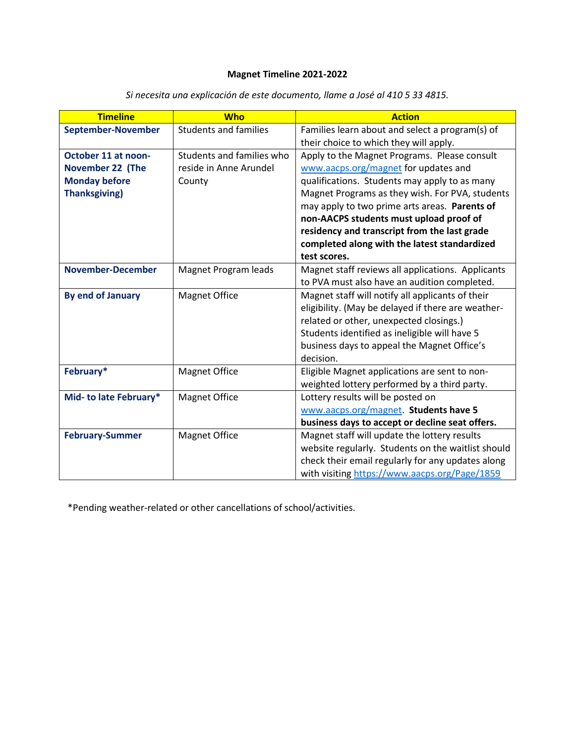## **Magnet Timeline 2021-2022**

| <b>Timeline</b>          | <b>Who</b>                   | <b>Action</b>                                      |
|--------------------------|------------------------------|----------------------------------------------------|
| September-November       | <b>Students and families</b> | Families learn about and select a program(s) of    |
|                          |                              | their choice to which they will apply.             |
| October 11 at noon-      | Students and families who    | Apply to the Magnet Programs. Please consult       |
| <b>November 22 (The</b>  | reside in Anne Arundel       | www.aacps.org/magnet for updates and               |
| <b>Monday before</b>     | County                       | qualifications. Students may apply to as many      |
| <b>Thanksgiving)</b>     |                              | Magnet Programs as they wish. For PVA, students    |
|                          |                              | may apply to two prime arts areas. Parents of      |
|                          |                              | non-AACPS students must upload proof of            |
|                          |                              | residency and transcript from the last grade       |
|                          |                              | completed along with the latest standardized       |
|                          |                              | test scores.                                       |
| <b>November-December</b> | Magnet Program leads         | Magnet staff reviews all applications. Applicants  |
|                          |                              | to PVA must also have an audition completed.       |
| <b>By end of January</b> | <b>Magnet Office</b>         | Magnet staff will notify all applicants of their   |
|                          |                              | eligibility. (May be delayed if there are weather- |
|                          |                              | related or other, unexpected closings.)            |
|                          |                              | Students identified as ineligible will have 5      |
|                          |                              | business days to appeal the Magnet Office's        |
|                          |                              | decision.                                          |
| February*                | <b>Magnet Office</b>         | Eligible Magnet applications are sent to non-      |
|                          |                              | weighted lottery performed by a third party.       |
| Mid- to late February*   | <b>Magnet Office</b>         | Lottery results will be posted on                  |
|                          |                              | www.aacps.org/magnet. Students have 5              |
|                          |                              | business days to accept or decline seat offers.    |
| <b>February-Summer</b>   | <b>Magnet Office</b>         | Magnet staff will update the lottery results       |
|                          |                              | website regularly. Students on the waitlist should |
|                          |                              | check their email regularly for any updates along  |
|                          |                              | with visiting https://www.aacps.org/Page/1859      |

*Si necesita una explicación de este documento, llame a José al 410 5 33 4815.*

\*Pending weather-related or other cancellations of school/activities.